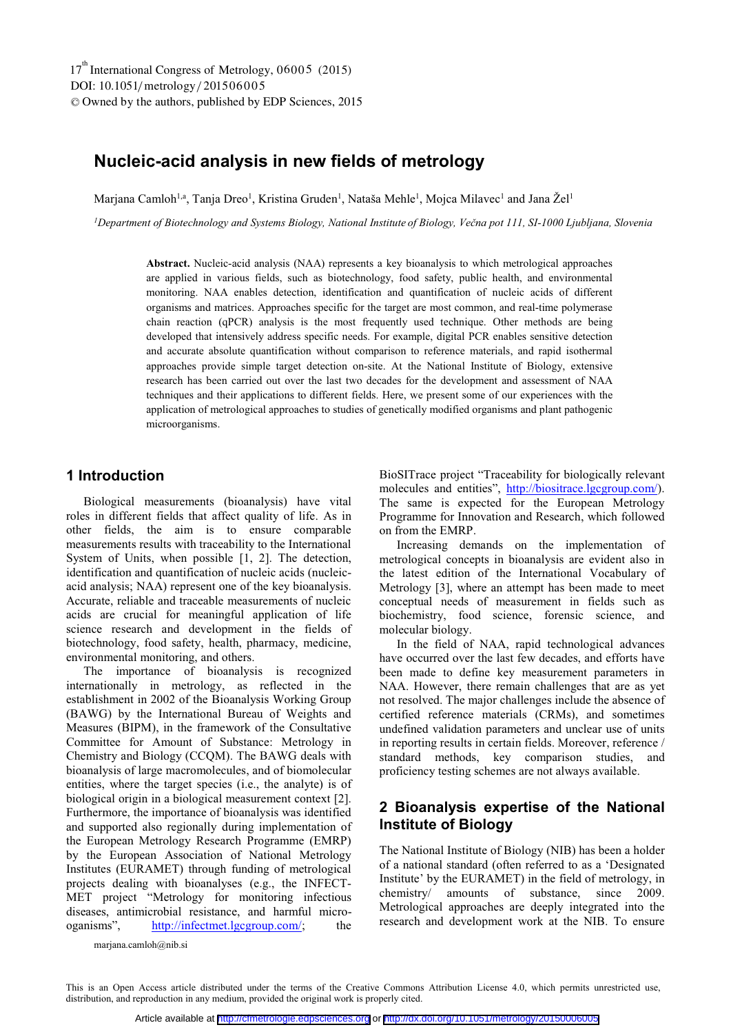# **Nucleic-acid analysis in new fields of metrology**

Marjana Camloh<sup>1,a</sup>, Tanja Dreo<sup>1</sup>, Kristina Gruden<sup>1</sup>, Nataša Mehle<sup>1</sup>, Mojca Milavec<sup>1</sup> and Jana Žel<sup>1</sup>

*1Department of Biotechnology and Systems Biology, National Institute of Biology, Večna pot 111, SI-1000 Ljubljana, Slovenia* 

**Abstract.** Nucleic-acid analysis (NAA) represents a key bioanalysis to which metrological approaches are applied in various fields, such as biotechnology, food safety, public health, and environmental monitoring. NAA enables detection, identification and quantification of nucleic acids of different organisms and matrices. Approaches specific for the target are most common, and real-time polymerase chain reaction (qPCR) analysis is the most frequently used technique. Other methods are being developed that intensively address specific needs. For example, digital PCR enables sensitive detection and accurate absolute quantification without comparison to reference materials, and rapid isothermal approaches provide simple target detection on-site. At the National Institute of Biology, extensive research has been carried out over the last two decades for the development and assessment of NAA techniques and their applications to different fields. Here, we present some of our experiences with the application of metrological approaches to studies of genetically modified organisms and plant pathogenic microorganisms.

### **1 Introduction**

Biological measurements (bioanalysis) have vital roles in different fields that affect quality of life. As in other fields, the aim is to ensure comparable measurements results with traceability to the International System of Units, when possible [1, 2]. The detection, identification and quantification of nucleic acids (nucleicacid analysis; NAA) represent one of the key bioanalysis. Accurate, reliable and traceable measurements of nucleic acids are crucial for meaningful application of life science research and development in the fields of biotechnology, food safety, health, pharmacy, medicine, environmental monitoring, and others.

The importance of bioanalysis is recognized internationally in metrology, as reflected in the establishment in 2002 of the Bioanalysis Working Group (BAWG) by the International Bureau of Weights and Measures (BIPM), in the framework of the Consultative Committee for Amount of Substance: Metrology in Chemistry and Biology (CCQM). The BAWG deals with bioanalysis of large macromolecules, and of biomolecular entities, where the target species (i.e., the analyte) is of biological origin in a biological measurement context [2]. Furthermore, the importance of bioanalysis was identified and supported also regionally during implementation of the European Metrology Research Programme (EMRP) by the European Association of National Metrology Institutes (EURAMET) through funding of metrological projects dealing with bioanalyses (e.g., the INFECT-MET project "Metrology for monitoring infectious diseases, antimicrobial resistance, and harmful microoganisms", http://infectmet.lgcgroup.com/; the

BioSITrace project "Traceability for biologically relevant molecules and entities", http://biositrace.lgcgroup.com/). The same is expected for the European Metrology Programme for Innovation and Research, which followed on from the EMRP.

Increasing demands on the implementation of metrological concepts in bioanalysis are evident also in the latest edition of the International Vocabulary of Metrology [3], where an attempt has been made to meet conceptual needs of measurement in fields such as biochemistry, food science, forensic science, and molecular biology.

In the field of NAA, rapid technological advances have occurred over the last few decades, and efforts have been made to define key measurement parameters in NAA. However, there remain challenges that are as yet not resolved. The major challenges include the absence of certified reference materials (CRMs), and sometimes undefined validation parameters and unclear use of units in reporting results in certain fields. Moreover, reference / standard methods, key comparison studies, and proficiency testing schemes are not always available.

## **2 Bioanalysis expertise of the National Institute of Biology**

The National Institute of Biology (NIB) has been a holder of a national standard (often referred to as a 'Designated Institute' by the EURAMET) in the field of metrology, in chemistry/ amounts of substance, since 2009. Metrological approaches are deeply integrated into the research and development work at the NIB. To ensure

marjana.camloh@nib.si

This is an Open Access article distributed under the terms of the Creative Commons Attribution License 4.0, which permits unrestricted use, distribution, and reproduction in any medium, provided the original work is properly cited.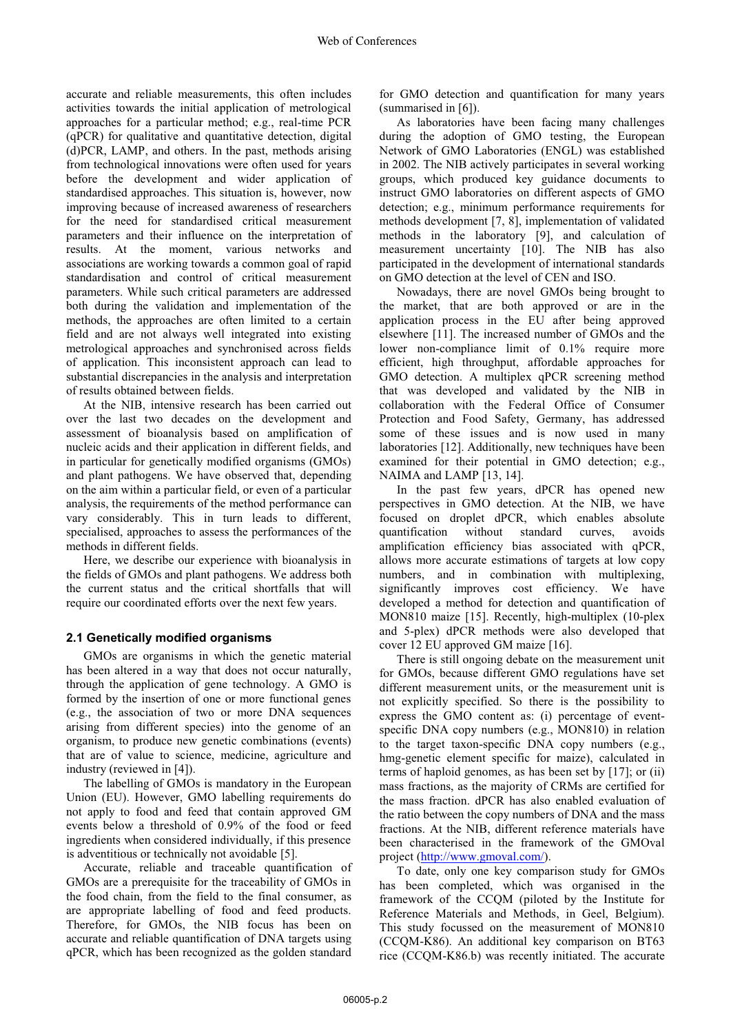accurate and reliable measurements, this often includes activities towards the initial application of metrological approaches for a particular method; e.g., real-time PCR (qPCR) for qualitative and quantitative detection, digital (d)PCR, LAMP, and others. In the past, methods arising from technological innovations were often used for years before the development and wider application of standardised approaches. This situation is, however, now improving because of increased awareness of researchers for the need for standardised critical measurement parameters and their influence on the interpretation of results. At the moment, various networks and associations are working towards a common goal of rapid standardisation and control of critical measurement parameters. While such critical parameters are addressed both during the validation and implementation of the methods, the approaches are often limited to a certain field and are not always well integrated into existing metrological approaches and synchronised across fields of application. This inconsistent approach can lead to substantial discrepancies in the analysis and interpretation of results obtained between fields.

At the NIB, intensive research has been carried out over the last two decades on the development and assessment of bioanalysis based on amplification of nucleic acids and their application in different fields, and in particular for genetically modified organisms (GMOs) and plant pathogens. We have observed that, depending on the aim within a particular field, or even of a particular analysis, the requirements of the method performance can vary considerably. This in turn leads to different, specialised, approaches to assess the performances of the methods in different fields.

Here, we describe our experience with bioanalysis in the fields of GMOs and plant pathogens. We address both the current status and the critical shortfalls that will require our coordinated efforts over the next few years.

#### **2.1 Genetically modified organisms**

GMOs are organisms in which the genetic material has been altered in a way that does not occur naturally, through the application of gene technology. A GMO is formed by the insertion of one or more functional genes (e.g., the association of two or more DNA sequences arising from different species) into the genome of an organism, to produce new genetic combinations (events) that are of value to science, medicine, agriculture and industry (reviewed in [4]).

The labelling of GMOs is mandatory in the European Union (EU). However, GMO labelling requirements do not apply to food and feed that contain approved GM events below a threshold of 0.9% of the food or feed ingredients when considered individually, if this presence is adventitious or technically not avoidable [5].

Accurate, reliable and traceable quantification of GMOs are a prerequisite for the traceability of GMOs in the food chain, from the field to the final consumer, as are appropriate labelling of food and feed products. Therefore, for GMOs, the NIB focus has been on accurate and reliable quantification of DNA targets using qPCR, which has been recognized as the golden standard

for GMO detection and quantification for many years (summarised in [6]).

As laboratories have been facing many challenges during the adoption of GMO testing, the European Network of GMO Laboratories (ENGL) was established in 2002. The NIB actively participates in several working groups, which produced key guidance documents to instruct GMO laboratories on different aspects of GMO detection; e.g., minimum performance requirements for methods development [7, 8], implementation of validated methods in the laboratory [9], and calculation of measurement uncertainty [10]. The NIB has also participated in the development of international standards on GMO detection at the level of CEN and ISO.

Nowadays, there are novel GMOs being brought to the market, that are both approved or are in the application process in the EU after being approved elsewhere [11]. The increased number of GMOs and the lower non-compliance limit of 0.1% require more efficient, high throughput, affordable approaches for GMO detection. A multiplex qPCR screening method that was developed and validated by the NIB in collaboration with the Federal Office of Consumer Protection and Food Safety, Germany, has addressed some of these issues and is now used in many laboratories [12]. Additionally, new techniques have been examined for their potential in GMO detection; e.g., NAIMA and LAMP [13, 14].

In the past few years, dPCR has opened new perspectives in GMO detection. At the NIB, we have focused on droplet dPCR, which enables absolute quantification without standard curves, avoids amplification efficiency bias associated with qPCR, allows more accurate estimations of targets at low copy numbers, and in combination with multiplexing, significantly improves cost efficiency. We have developed a method for detection and quantification of MON810 maize [15]. Recently, high-multiplex (10-plex and 5-plex) dPCR methods were also developed that cover 12 EU approved GM maize [16].

There is still ongoing debate on the measurement unit for GMOs, because different GMO regulations have set different measurement units, or the measurement unit is not explicitly specified. So there is the possibility to express the GMO content as: (i) percentage of eventspecific DNA copy numbers (e.g., MON810) in relation to the target taxon-specific DNA copy numbers (e.g., hmg-genetic element specific for maize), calculated in terms of haploid genomes, as has been set by [17]; or (ii) mass fractions, as the majority of CRMs are certified for the mass fraction. dPCR has also enabled evaluation of the ratio between the copy numbers of DNA and the mass fractions. At the NIB, different reference materials have been characterised in the framework of the GMOval project (http://www.gmoval.com/).

To date, only one key comparison study for GMOs has been completed, which was organised in the framework of the CCQM (piloted by the Institute for Reference Materials and Methods, in Geel, Belgium). This study focussed on the measurement of MON810 (CCQM-K86). An additional key comparison on BT63 rice (CCQM-K86.b) was recently initiated. The accurate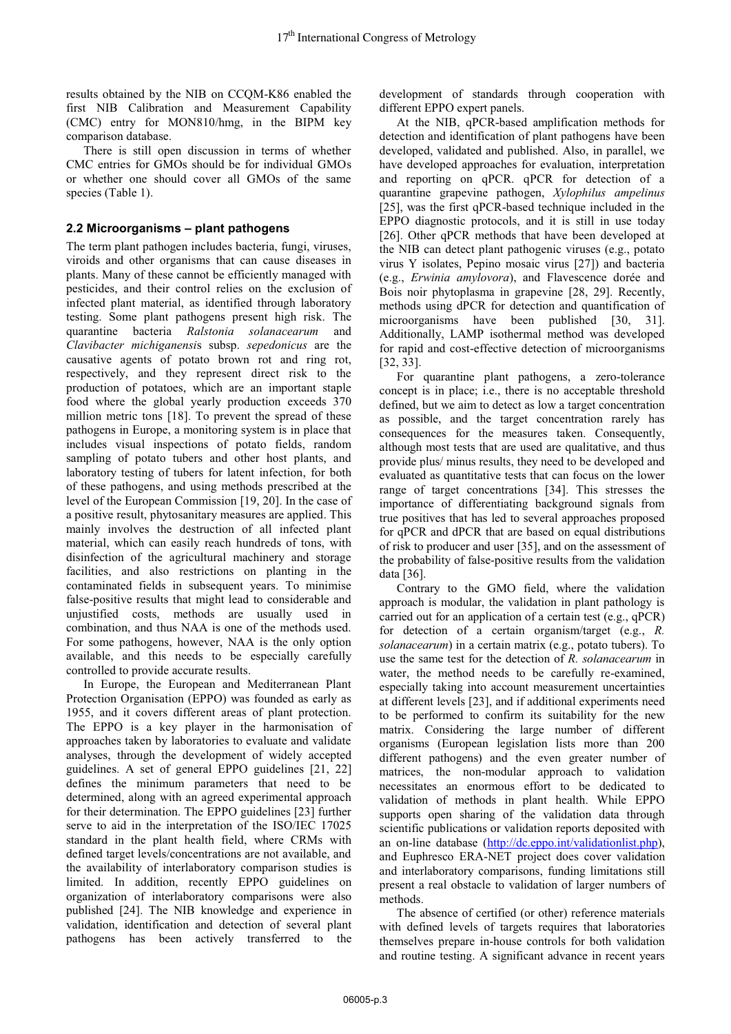results obtained by the NIB on CCQM-K86 enabled the first NIB Calibration and Measurement Capability (CMC) entry for MON810/hmg, in the BIPM key comparison database.

There is still open discussion in terms of whether CMC entries for GMOs should be for individual GMOs or whether one should cover all GMOs of the same species (Table 1).

#### **2.2 Microorganisms – plant pathogens**

The term plant pathogen includes bacteria, fungi, viruses, viroids and other organisms that can cause diseases in plants. Many of these cannot be efficiently managed with pesticides, and their control relies on the exclusion of infected plant material, as identified through laboratory testing. Some plant pathogens present high risk. The quarantine bacteria *Ralstonia solanacearum* and *Clavibacter michiganensi*s subsp. *sepedonicus* are the causative agents of potato brown rot and ring rot, respectively, and they represent direct risk to the production of potatoes, which are an important staple food where the global yearly production exceeds 370 million metric tons [18]. To prevent the spread of these pathogens in Europe, a monitoring system is in place that includes visual inspections of potato fields, random sampling of potato tubers and other host plants, and laboratory testing of tubers for latent infection, for both of these pathogens, and using methods prescribed at the level of the European Commission [19, 20]. In the case of a positive result, phytosanitary measures are applied. This mainly involves the destruction of all infected plant material, which can easily reach hundreds of tons, with disinfection of the agricultural machinery and storage facilities, and also restrictions on planting in the contaminated fields in subsequent years. To minimise false-positive results that might lead to considerable and unjustified costs, methods are usually used in combination, and thus NAA is one of the methods used. For some pathogens, however, NAA is the only option available, and this needs to be especially carefully controlled to provide accurate results.

In Europe, the European and Mediterranean Plant Protection Organisation (EPPO) was founded as early as 1955, and it covers different areas of plant protection. The EPPO is a key player in the harmonisation of approaches taken by laboratories to evaluate and validate analyses, through the development of widely accepted guidelines. A set of general EPPO guidelines [21, 22] defines the minimum parameters that need to be determined, along with an agreed experimental approach for their determination. The EPPO guidelines [23] further serve to aid in the interpretation of the ISO/IEC 17025 standard in the plant health field, where CRMs with defined target levels/concentrations are not available, and the availability of interlaboratory comparison studies is limited. In addition, recently EPPO guidelines on organization of interlaboratory comparisons were also published [24]. The NIB knowledge and experience in validation, identification and detection of several plant pathogens has been actively transferred to the

development of standards through cooperation with different EPPO expert panels.

At the NIB, qPCR-based amplification methods for detection and identification of plant pathogens have been developed, validated and published. Also, in parallel, we have developed approaches for evaluation, interpretation and reporting on qPCR. qPCR for detection of a quarantine grapevine pathogen, *Xylophilus ampelinus* [25], was the first qPCR-based technique included in the EPPO diagnostic protocols, and it is still in use today [26]. Other qPCR methods that have been developed at the NIB can detect plant pathogenic viruses (e.g., potato virus Y isolates, Pepino mosaic virus [27]) and bacteria (e.g., *Erwinia amylovora*), and Flavescence dorée and Bois noir phytoplasma in grapevine [28, 29]. Recently, methods using dPCR for detection and quantification of microorganisms have been published [30, 31]. Additionally, LAMP isothermal method was developed for rapid and cost-effective detection of microorganisms [32, 33].

For quarantine plant pathogens, a zero-tolerance concept is in place; i.e., there is no acceptable threshold defined, but we aim to detect as low a target concentration as possible, and the target concentration rarely has consequences for the measures taken. Consequently, although most tests that are used are qualitative, and thus provide plus/ minus results, they need to be developed and evaluated as quantitative tests that can focus on the lower range of target concentrations [34]. This stresses the importance of differentiating background signals from true positives that has led to several approaches proposed for qPCR and dPCR that are based on equal distributions of risk to producer and user [35], and on the assessment of the probability of false-positive results from the validation data [36].

Contrary to the GMO field, where the validation approach is modular, the validation in plant pathology is carried out for an application of a certain test (e.g., qPCR) for detection of a certain organism/target (e.g., *R. solanacearum*) in a certain matrix (e.g., potato tubers). To use the same test for the detection of *R. solanacearum* in water, the method needs to be carefully re-examined, especially taking into account measurement uncertainties at different levels [23], and if additional experiments need to be performed to confirm its suitability for the new matrix. Considering the large number of different organisms (European legislation lists more than 200 different pathogens) and the even greater number of matrices, the non-modular approach to validation necessitates an enormous effort to be dedicated to validation of methods in plant health. While EPPO supports open sharing of the validation data through scientific publications or validation reports deposited with an on-line database (http://dc.eppo.int/validationlist.php), and Euphresco ERA-NET project does cover validation and interlaboratory comparisons, funding limitations still present a real obstacle to validation of larger numbers of methods.

The absence of certified (or other) reference materials with defined levels of targets requires that laboratories themselves prepare in-house controls for both validation and routine testing. A significant advance in recent years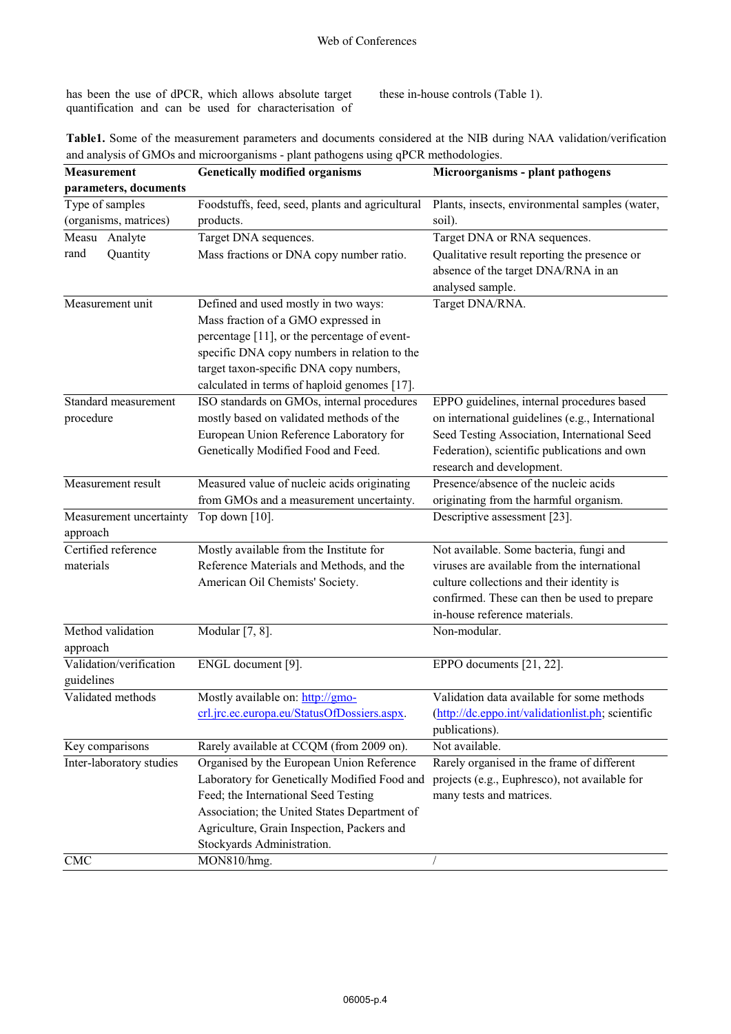has been the use of dPCR, which allows absolute target quantification and can be used for characterisation of these in-house controls (Table 1).

| Table1. Some of the measurement parameters and documents considered at the NIB during NAA validation/verification |  |
|-------------------------------------------------------------------------------------------------------------------|--|
| and analysis of GMOs and microorganisms - plant pathogens using qPCR methodologies.                               |  |

| Measurement              | <b>Genetically modified organisms</b>           | Microorganisms - plant pathogens                  |
|--------------------------|-------------------------------------------------|---------------------------------------------------|
| parameters, documents    |                                                 |                                                   |
| Type of samples          | Foodstuffs, feed, seed, plants and agricultural | Plants, insects, environmental samples (water,    |
| (organisms, matrices)    | products.                                       | soil).                                            |
| Measu Analyte            | Target DNA sequences.                           | Target DNA or RNA sequences.                      |
| rand<br>Quantity         | Mass fractions or DNA copy number ratio.        | Qualitative result reporting the presence or      |
|                          |                                                 | absence of the target DNA/RNA in an               |
|                          |                                                 | analysed sample.                                  |
| Measurement unit         | Defined and used mostly in two ways:            | Target DNA/RNA.                                   |
|                          | Mass fraction of a GMO expressed in             |                                                   |
|                          | percentage [11], or the percentage of event-    |                                                   |
|                          | specific DNA copy numbers in relation to the    |                                                   |
|                          | target taxon-specific DNA copy numbers,         |                                                   |
|                          | calculated in terms of haploid genomes [17].    |                                                   |
| Standard measurement     | ISO standards on GMOs, internal procedures      | EPPO guidelines, internal procedures based        |
| procedure                | mostly based on validated methods of the        | on international guidelines (e.g., International  |
|                          | European Union Reference Laboratory for         | Seed Testing Association, International Seed      |
|                          | Genetically Modified Food and Feed.             | Federation), scientific publications and own      |
|                          |                                                 | research and development.                         |
| Measurement result       | Measured value of nucleic acids originating     | Presence/absence of the nucleic acids             |
|                          | from GMOs and a measurement uncertainty.        | originating from the harmful organism.            |
| Measurement uncertainty  | Top down $[10]$ .                               | Descriptive assessment [23].                      |
| approach                 |                                                 |                                                   |
| Certified reference      | Mostly available from the Institute for         | Not available. Some bacteria, fungi and           |
| materials                | Reference Materials and Methods, and the        | viruses are available from the international      |
|                          | American Oil Chemists' Society.                 | culture collections and their identity is         |
|                          |                                                 | confirmed. These can then be used to prepare      |
|                          |                                                 | in-house reference materials.                     |
| Method validation        | Modular [7, 8].                                 | Non-modular.                                      |
| approach                 |                                                 |                                                   |
| Validation/verification  | ENGL document [9].                              | EPPO documents [21, 22].                          |
| guidelines               |                                                 |                                                   |
| Validated methods        | Mostly available on: http://gmo-                | Validation data available for some methods        |
|                          | crl.jrc.ec.europa.eu/StatusOfDossiers.aspx.     | (http://dc.eppo.int/validationlist.ph; scientific |
|                          |                                                 | publications).                                    |
| Key comparisons          | Rarely available at CCQM (from 2009 on).        | Not available.                                    |
| Inter-laboratory studies | Organised by the European Union Reference       | Rarely organised in the frame of different        |
|                          | Laboratory for Genetically Modified Food and    | projects (e.g., Euphresco), not available for     |
|                          | Feed; the International Seed Testing            | many tests and matrices.                          |
|                          | Association; the United States Department of    |                                                   |
|                          | Agriculture, Grain Inspection, Packers and      |                                                   |
|                          | Stockyards Administration.                      |                                                   |
| CMC                      | MON810/hmg.                                     |                                                   |